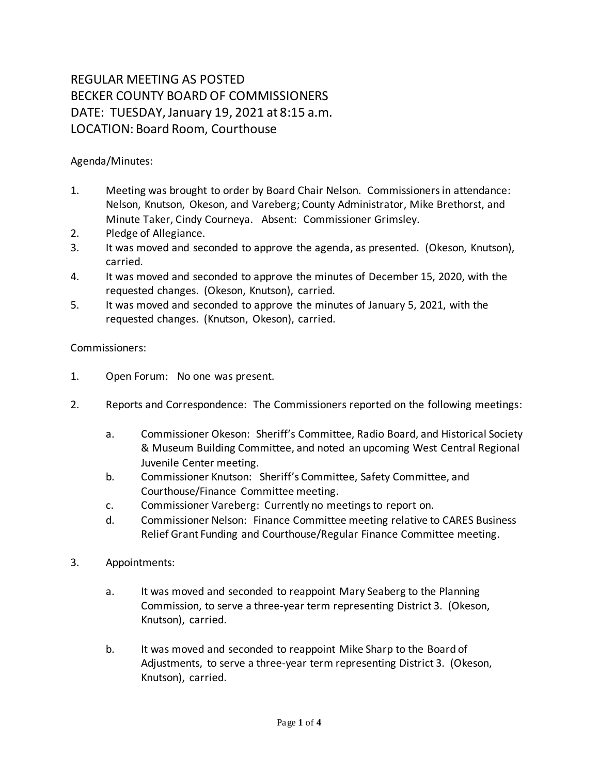## REGULAR MEETING AS POSTED BECKER COUNTY BOARD OF COMMISSIONERS DATE: TUESDAY, January 19, 2021 at 8:15 a.m. LOCATION: Board Room, Courthouse

Agenda/Minutes:

- 1. Meeting was brought to order by Board Chair Nelson. Commissioners in attendance: Nelson, Knutson, Okeson, and Vareberg; County Administrator, Mike Brethorst, and Minute Taker, Cindy Courneya. Absent: Commissioner Grimsley.
- 2. Pledge of Allegiance.
- 3. It was moved and seconded to approve the agenda, as presented. (Okeson, Knutson), carried.
- 4. It was moved and seconded to approve the minutes of December 15, 2020, with the requested changes. (Okeson, Knutson), carried.
- 5. It was moved and seconded to approve the minutes of January 5, 2021, with the requested changes. (Knutson, Okeson), carried.

## Commissioners:

- 1. Open Forum: No one was present.
- 2. Reports and Correspondence: The Commissioners reported on the following meetings:
	- a. Commissioner Okeson: Sheriff's Committee, Radio Board, and Historical Society & Museum Building Committee, and noted an upcoming West Central Regional Juvenile Center meeting.
	- b. Commissioner Knutson: Sheriff's Committee, Safety Committee, and Courthouse/Finance Committee meeting.
	- c. Commissioner Vareberg: Currently no meetings to report on.
	- d. Commissioner Nelson: Finance Committee meeting relative to CARES Business Relief Grant Funding and Courthouse/Regular Finance Committee meeting.
- 3. Appointments:
	- a. It was moved and seconded to reappoint Mary Seaberg to the Planning Commission, to serve a three-year term representing District 3.(Okeson, Knutson), carried.
	- b. It was moved and seconded to reappoint Mike Sharp to the Board of Adjustments, to serve a three-year term representing District 3. (Okeson, Knutson), carried.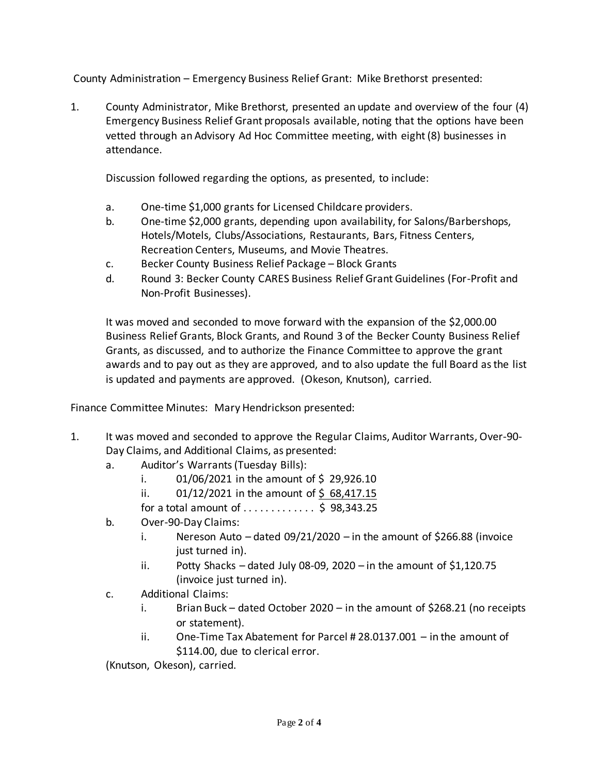County Administration – Emergency Business Relief Grant: Mike Brethorst presented:

1. County Administrator, Mike Brethorst, presented an update and overview of the four (4) Emergency Business Relief Grant proposals available, noting that the options have been vetted through an Advisory Ad Hoc Committee meeting, with eight (8) businesses in attendance.

Discussion followed regarding the options, as presented, to include:

- a. One-time \$1,000 grants for Licensed Childcare providers.
- b. One-time \$2,000 grants, depending upon availability, for Salons/Barbershops, Hotels/Motels, Clubs/Associations, Restaurants, Bars, Fitness Centers, Recreation Centers, Museums, and Movie Theatres.
- c. Becker County Business Relief Package Block Grants
- d. Round 3: Becker County CARES Business Relief Grant Guidelines (For-Profit and Non-Profit Businesses).

It was moved and seconded to move forward with the expansion of the \$2,000.00 Business Relief Grants, Block Grants, and Round 3 of the Becker County Business Relief Grants, as discussed, and to authorize the Finance Committee to approve the grant awards and to pay out as they are approved, and to also update the full Board as the list is updated and payments are approved. (Okeson, Knutson), carried.

Finance Committee Minutes: Mary Hendrickson presented:

- 1. It was moved and seconded to approve the Regular Claims, Auditor Warrants, Over-90- Day Claims, and Additional Claims, as presented:
	- a. Auditor's Warrants (Tuesday Bills):
		- i.  $01/06/2021$  in the amount of \$29,926.10
		- ii.  $01/12/2021$  in the amount of \$68,417.15

for a total amount of  $\dots \dots \dots$  \$ 98,343.25

- b. Over-90-Day Claims:
	- i. Nereson Auto dated  $09/21/2020$  in the amount of \$266.88 (invoice just turned in).
	- ii. Potty Shacks dated July 08-09, 2020 in the amount of  $$1,120.75$ (invoice just turned in).
- c. Additional Claims:
	- i. Brian Buck dated October 2020 in the amount of \$268.21 (no receipts or statement).
	- ii. One-Time Tax Abatement for Parcel # 28.0137.001 in the amount of \$114.00, due to clerical error.

(Knutson, Okeson), carried.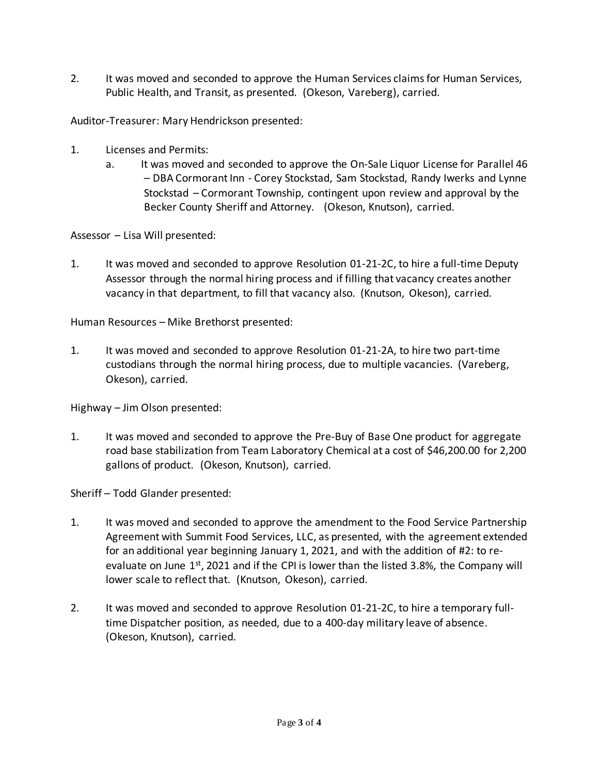2. It was moved and seconded to approve the Human Services claims for Human Services, Public Health, and Transit, as presented. (Okeson, Vareberg), carried.

Auditor-Treasurer: Mary Hendrickson presented:

- 1. Licenses and Permits:
	- a. It was moved and seconded to approve the On-Sale Liquor License for Parallel 46 – DBA Cormorant Inn - Corey Stockstad, Sam Stockstad, Randy Iwerks and Lynne Stockstad – Cormorant Township, contingent upon review and approval by the Becker County Sheriff and Attorney. (Okeson, Knutson), carried.

Assessor – Lisa Will presented:

1. It was moved and seconded to approve Resolution 01-21-2C, to hire a full-time Deputy Assessor through the normal hiring process and if filling that vacancy creates another vacancy in that department, to fill that vacancy also. (Knutson, Okeson), carried.

Human Resources – Mike Brethorst presented:

1. It was moved and seconded to approve Resolution 01-21-2A, to hire two part-time custodians through the normal hiring process, due to multiple vacancies. (Vareberg, Okeson), carried.

Highway – Jim Olson presented:

1. It was moved and seconded to approve the Pre-Buy of Base One product for aggregate road base stabilization from Team Laboratory Chemical at a cost of \$46,200.00 for 2,200 gallons of product. (Okeson, Knutson), carried.

Sheriff – Todd Glander presented:

- 1. It was moved and seconded to approve the amendment to the Food Service Partnership Agreement with Summit Food Services, LLC, as presented, with the agreement extended for an additional year beginning January 1, 2021, and with the addition of #2: to reevaluate on June  $1<sup>st</sup>$ , 2021 and if the CPI is lower than the listed 3.8%, the Company will lower scale to reflect that. (Knutson, Okeson), carried.
- 2. It was moved and seconded to approve Resolution 01-21-2C, to hire a temporary fulltime Dispatcher position, as needed, due to a 400-day military leave of absence. (Okeson, Knutson), carried.